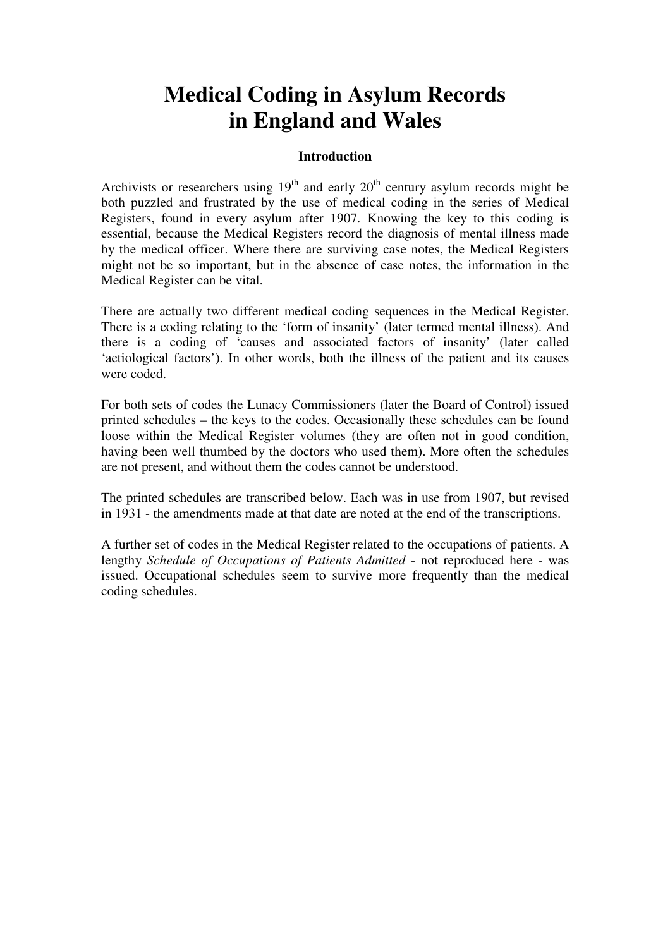# **Medical Coding in Asylum Records in England and Wales**

#### **Introduction**

Archivists or researchers using  $19<sup>th</sup>$  and early  $20<sup>th</sup>$  century asylum records might be both puzzled and frustrated by the use of medical coding in the series of Medical Registers, found in every asylum after 1907. Knowing the key to this coding is essential, because the Medical Registers record the diagnosis of mental illness made by the medical officer. Where there are surviving case notes, the Medical Registers might not be so important, but in the absence of case notes, the information in the Medical Register can be vital.

There are actually two different medical coding sequences in the Medical Register. There is a coding relating to the 'form of insanity' (later termed mental illness). And there is a coding of 'causes and associated factors of insanity' (later called 'aetiological factors'). In other words, both the illness of the patient and its causes were coded.

For both sets of codes the Lunacy Commissioners (later the Board of Control) issued printed schedules – the keys to the codes. Occasionally these schedules can be found loose within the Medical Register volumes (they are often not in good condition, having been well thumbed by the doctors who used them). More often the schedules are not present, and without them the codes cannot be understood.

The printed schedules are transcribed below. Each was in use from 1907, but revised in 1931 - the amendments made at that date are noted at the end of the transcriptions.

A further set of codes in the Medical Register related to the occupations of patients. A lengthy *Schedule of Occupations of Patients Admitted* - not reproduced here - was issued. Occupational schedules seem to survive more frequently than the medical coding schedules.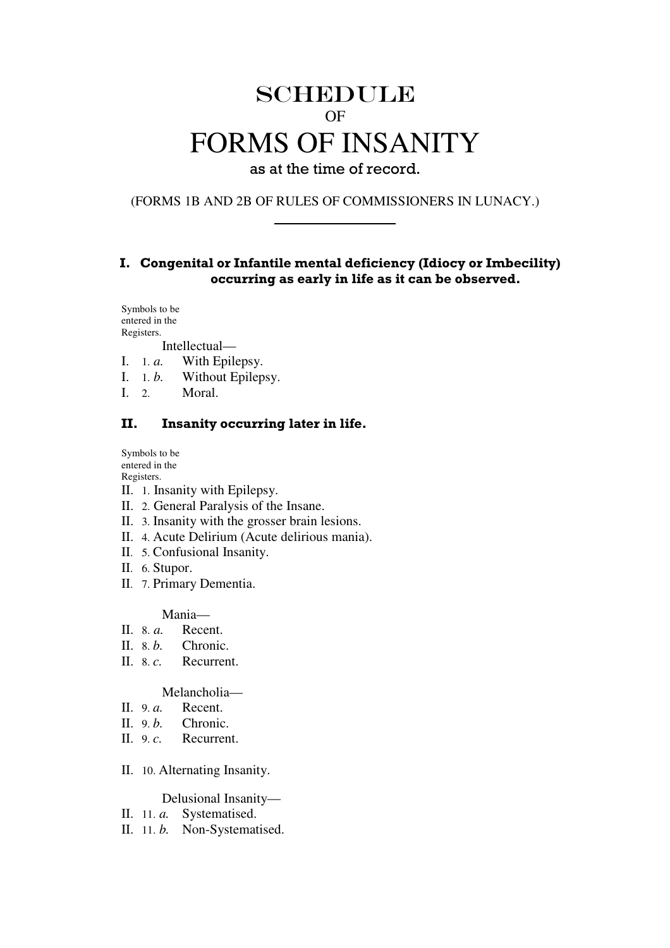# SCHEDULE OF FORMS OF INSANITY

as at the time of record.

(FORMS 1B AND 2B OF RULES OF COMMISSIONERS IN LUNACY.)

#### I. Congenital or Infantile mental deficiency (Idiocy or Imbecility) occurring as early in life as it can be observed.

Symbols to be entered in the Registers.

Intellectual—

- I. 1. *a.* With Epilepsy.
- I. 1. *b*. Without Epilepsy.<br>
I. 2 Moral
- Moral.

#### II. Insanity occurring later in life.

Symbols to be entered in the Registers.

- II. 1. Insanity with Epilepsy.
- II. 2. General Paralysis of the Insane.
- II. 3. Insanity with the grosser brain lesions.
- II. 4. Acute Delirium (Acute delirious mania).
- II. 5. Confusional Insanity.
- II. 6. Stupor.
- II. 7. Primary Dementia.

Mania—

- II. 8. *a.* Recent.
- II. 8. *b*. Chronic.
- II. 8. *c.* Recurrent.

Melancholia—

- II. 9. *a.* Recent.
- II. 9.*b.* Chronic.
- II. 9. *c.* Recurrent.
- II. 10. Alternating Insanity.

Delusional Insanity—

- II. 11. *a.* Systematised.
- II. 11. *b.* Non-Systematised.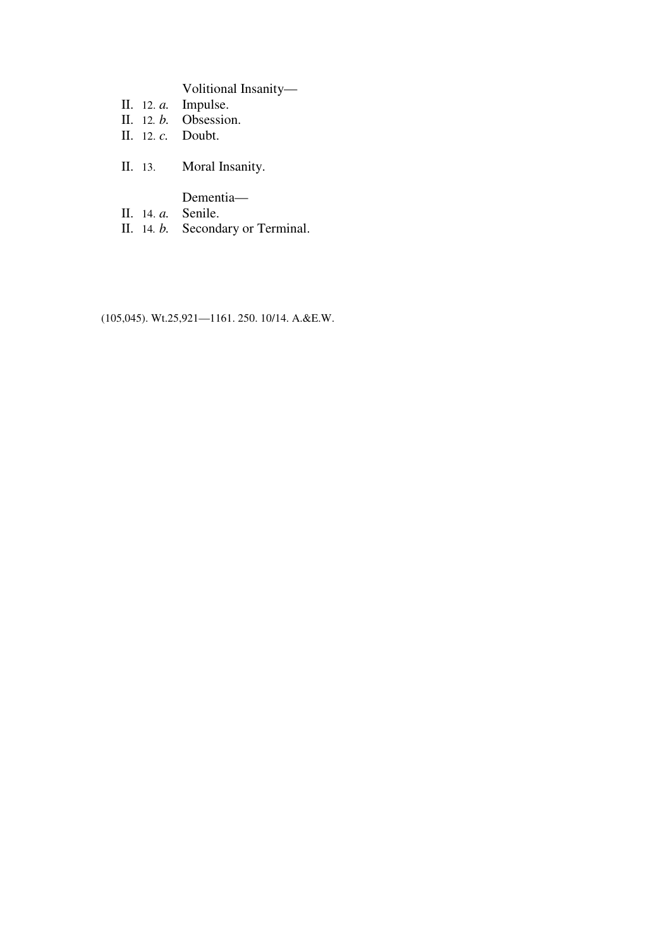Volitional Insanity—

- II. 12. *a.* Impulse.
- II. 12*. b.* Obsession.
- II. 12. *c.* Doubt.
- II. 13. Moral Insanity.
	- Dementia—
- II. 14. *a.* Senile.
- II. 14*. b.* Secondary or Terminal.

(105,045). Wt.25,921—1161. 250. 10/14. A.&E.W.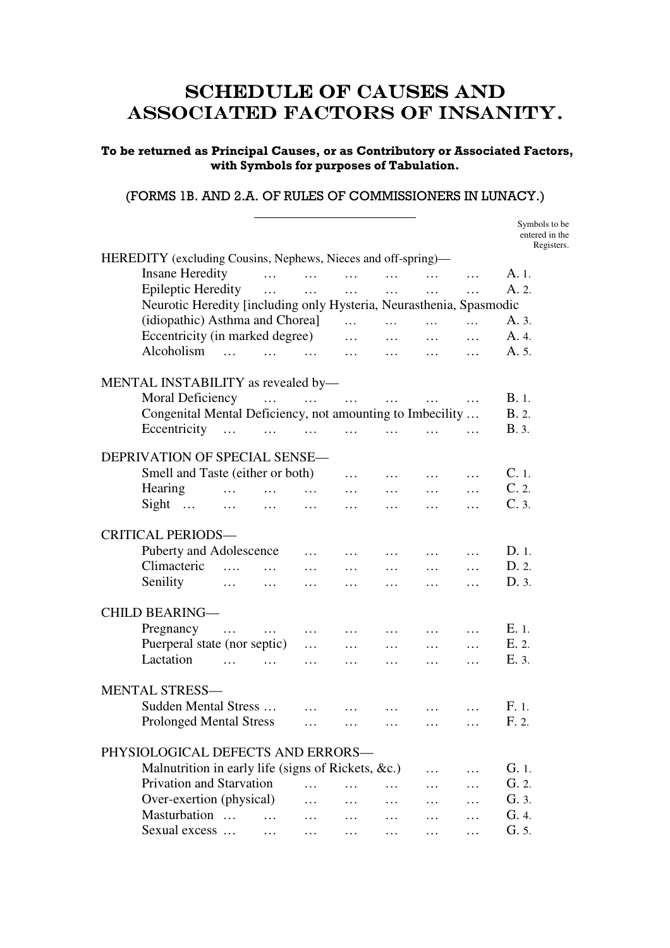### SCHEDULE OF CAUSES AND ASSOCIATED FACTORS OF INSANITY.

#### To be returned as Principal Causes, or as Contributory or Associated Factors, with Symbols for purposes of Tabulation.

#### (FORMS 1B. AND 2.A. OF RULES OF COMMISSIONERS IN LUNACY.)

 $\overline{a}$ 

|                                                                     |            |          |                                                    |          |          |          | Symbols to be<br>entered in the<br>Registers. |
|---------------------------------------------------------------------|------------|----------|----------------------------------------------------|----------|----------|----------|-----------------------------------------------|
| HEREDITY (excluding Cousins, Nephews, Nieces and off-spring)—       |            |          |                                                    |          |          |          |                                               |
| <b>Insane Heredity</b>                                              | $\cdots$   |          |                                                    | $\cdots$ | $\cdots$ | $\cdots$ | A. 1.                                         |
| <b>Epileptic Heredity</b>                                           | $\cdots$   | $\cdots$ | $\cdots$                                           | $\cdots$ | .        | $\cdots$ | A. 2.                                         |
| Neurotic Heredity [including only Hysteria, Neurasthenia, Spasmodic |            |          |                                                    |          |          |          |                                               |
| (idiopathic) Asthma and Chorea]                                     |            |          | $\cdots$                                           | $\cdots$ | $\cdots$ | $\cdots$ | A. 3.                                         |
| Eccentricity (in marked degree)                                     |            |          | $\cdots$                                           | $\cdots$ | $\cdots$ | .        | A. 4.                                         |
| Alcoholism<br>$\cdots$ $\cdots$ $\cdots$ $\cdots$                   |            |          | $\sim$ $\sim$ $\sim$ $\sim$                        | $\cdots$ | $\cdots$ | $\cdots$ | A. 5.                                         |
| MENTAL INSTABILITY as revealed by-                                  |            |          |                                                    |          |          |          |                                               |
| Moral Deficiency                                                    | $\ldots$   |          | $\sim$ 111 $\sim$ 111 $\sim$ 111 $\sim$ 111 $\sim$ |          | $\cdots$ |          | B.1.                                          |
| Congenital Mental Deficiency, not amounting to Imbecility           |            |          |                                                    |          |          |          | <b>B.</b> 2.                                  |
| Eccentricity                                                        | $\cdots$   |          | $\cdots$ $\cdots$                                  | $\cdots$ |          |          | <b>B.</b> 3.                                  |
| DEPRIVATION OF SPECIAL SENSE-                                       |            |          |                                                    |          |          |          |                                               |
| Smell and Taste (either or both)                                    |            |          | $\cdots$                                           | $\cdots$ | $\cdots$ | $\cdots$ | $C.1$ .                                       |
| Hearing                                                             |            | $\cdots$ | $\cdots$                                           | $\cdots$ | $\cdots$ | $\cdots$ | C.2.                                          |
| $Signt$<br>$\cdots$                                                 | $\cdots$   | $\cdots$ | $\cdots$                                           | .        | $\cdots$ |          | C.3.                                          |
| <b>CRITICAL PERIODS-</b>                                            |            |          |                                                    |          |          |          |                                               |
| Puberty and Adolescence                                             |            | .        | $\cdots$                                           | $\cdots$ | $\cdots$ | .        | D.1.                                          |
| Climacteric<br>$\cdots$                                             | $\dddotsc$ |          | $\cdots$                                           | .        | $\cdots$ | .        | D. 2.                                         |
| Senility<br>$\cdots$                                                | $\ldots$   | $\cdots$ | $\cdots$                                           | $\cdots$ | $\cdots$ | $\cdots$ | D. 3.                                         |
| <b>CHILD BEARING-</b>                                               |            |          |                                                    |          |          |          |                                               |
| Pregnancy                                                           |            |          |                                                    |          |          |          | $E.1$ .                                       |
| $\cdots$<br>Puerperal state (nor septic)                            | $\ldots$   | $\cdots$ | $\cdots$                                           | $\cdots$ | $\cdots$ | .        | E. 2.                                         |
| Lactation                                                           |            | $\cdots$ | $\cdots$                                           | $\cdots$ | $\cdots$ | $\cdots$ | E. 3.                                         |
|                                                                     |            | $\cdots$ | $\cdots$                                           | $\cdots$ | $\cdots$ | $\cdots$ |                                               |
| <b>MENTAL STRESS-</b>                                               |            |          |                                                    |          |          |          |                                               |
| Sudden Mental Stress                                                |            | $\cdots$ | $\cdots$                                           | $\cdots$ | $\cdots$ | .        | F. 1.                                         |
| <b>Prolonged Mental Stress</b>                                      |            |          |                                                    |          |          |          | F. 2.                                         |
| PHYSIOLOGICAL DEFECTS AND ERRORS-                                   |            |          |                                                    |          |          |          |                                               |
| Malnutrition in early life (signs of Rickets, &c.)                  |            |          |                                                    |          |          | .        | G.1                                           |
| Privation and Starvation                                            |            | $\cdots$ | $\cdots$                                           | $\cdots$ | .        | .        | G.2.                                          |
| Over-exertion (physical)                                            |            | .        | $\cdots$                                           | $\cdots$ | $\cdots$ |          | G. 3.                                         |
| Masturbation                                                        | $\cdots$   | $\cdots$ |                                                    | $\cdots$ | $\cdots$ |          | G. 4.                                         |
| Sexual excess                                                       | $\cdots$   | $\cdots$ | $\cdots$                                           | $\cdots$ | $\cdots$ |          | G. 5.                                         |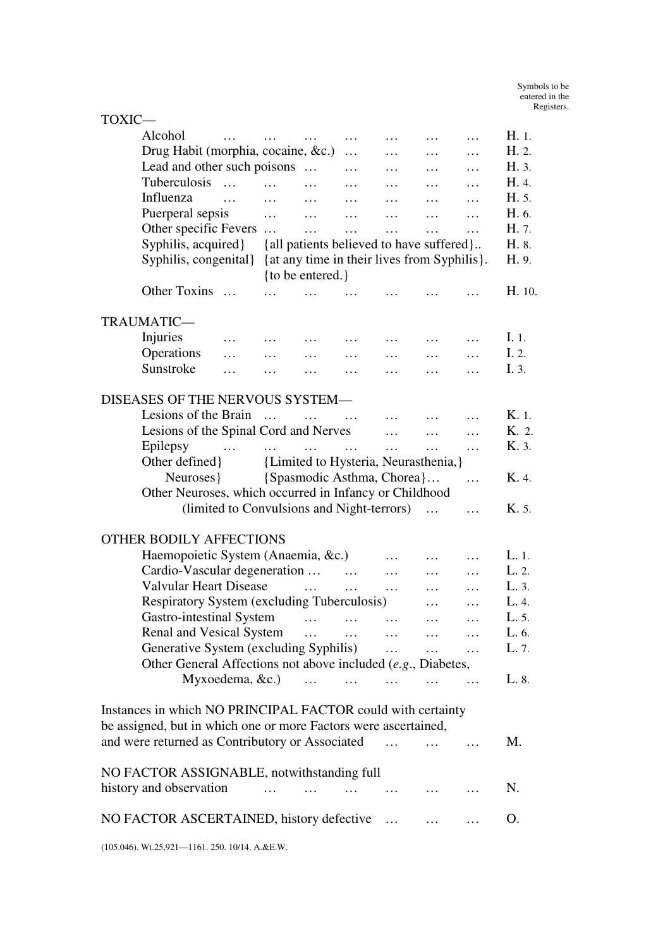| TOXIC—                                                               |                       |                                          |          |           |              |                                         |        |  |  |
|----------------------------------------------------------------------|-----------------------|------------------------------------------|----------|-----------|--------------|-----------------------------------------|--------|--|--|
| Alcohol                                                              | $\cdots$              | $\cdots$                                 | .        |           | $\cdots$     | .                                       | H. 1.  |  |  |
| Drug Habit (morphia, cocaine, &c.)                                   |                       |                                          | $\cdots$ | $\cdots$  | $\cdots$     | $\cdots$                                | H. 2.  |  |  |
| Lead and other such poisons                                          |                       |                                          | $\cdots$ | $\cdots$  | $\cdots$     | $\cdots$                                | H. 3.  |  |  |
| Tuberculosis<br>$\cdots$                                             | $\dddotsc$            | $\cdots$                                 | $\cdots$ | $\cdots$  | $\cdots$     | $\cdots$                                | H. 4.  |  |  |
| Influenza<br>$\cdots$                                                | $\cdots$              | $\sim$ $\sim$ $\sim$                     | $\cdots$ | $\cdots$  | $\ldots$     | $\cdots$                                | H. 5.  |  |  |
| Puerperal sepsis                                                     | $\cdots$ $\cdots$     |                                          | $\cdots$ | $\ldots$  | $\ldots$     | .                                       | H. 6.  |  |  |
| Other specific Fevers                                                |                       | $\cdots$                                 | $\cdots$ | $\cdots$  | $\cdots$     | .                                       | H. 7.  |  |  |
| Syphilis, acquired}                                                  |                       | {all patients believed to have suffered} |          |           |              |                                         | H. 8.  |  |  |
| Syphilis, congenital}<br>{at any time in their lives from Syphilis}. |                       |                                          |          |           |              |                                         |        |  |  |
|                                                                      |                       | {to be entered.}                         |          |           |              |                                         |        |  |  |
| Other Toxins                                                         |                       |                                          |          |           |              |                                         | H. 10. |  |  |
| TRAUMATIC-                                                           |                       |                                          |          |           |              |                                         |        |  |  |
| Injuries<br>$\cdots$                                                 | $\cdots$              | $\cdots$                                 |          | $\cdots$  | $\cdots$     | $\ddots$                                | I. 1.  |  |  |
| Operations<br>$\cdots$                                               | $\cdots$              | $\cdots$                                 | $\cdots$ | $\cdots$  | $\cdots$     | $\cdots$                                | I. 2.  |  |  |
| Sunstroke<br>$\ddotsc$                                               | $\cdots$              | $\cdots$                                 | $\cdots$ | $\cdots$  | $\cdots$     | $\cdots$                                | I. 3.  |  |  |
|                                                                      |                       |                                          |          |           |              |                                         |        |  |  |
| DISEASES OF THE NERVOUS SYSTEM-                                      |                       |                                          |          |           |              |                                         |        |  |  |
| Lesions of the Brain                                                 | $\cdots$              | $\dddotsc$                               | $\cdots$ | $\cdots$  |              |                                         | K. 1.  |  |  |
| Lesions of the Spinal Cord and Nerves                                |                       |                                          |          | $\cdots$  | $\cdots$     | .                                       | K. 2.  |  |  |
| Epilepsy<br>and the same of the same of the same                     |                       |                                          | $\cdots$ | $\cdots$  | $\cdots$     | .                                       | K. 3.  |  |  |
| Other defined }                                                      |                       | {Limited to Hysteria, Neurasthenia,}     |          |           |              |                                         |        |  |  |
| Neuroses {Spasmodic Asthma, Chorea }                                 |                       |                                          |          |           |              | .                                       | K. 4.  |  |  |
| Other Neuroses, which occurred in Infancy or Childhood               |                       |                                          |          |           |              |                                         |        |  |  |
| (limited to Convulsions and Night-terrors)                           |                       |                                          |          |           | $\dddotsc$   | .                                       | K. 5.  |  |  |
|                                                                      |                       |                                          |          |           |              |                                         |        |  |  |
| <b>OTHER BODILY AFFECTIONS</b>                                       |                       |                                          |          |           |              |                                         |        |  |  |
| Haemopoietic System (Anaemia, &c.)                                   |                       |                                          |          | .         | .            | .                                       | L.1.   |  |  |
| Cardio-Vascular degeneration                                         |                       |                                          | $\cdots$ | $\ldots$  | $\cdots$     | .                                       | L. 2.  |  |  |
| <b>Valvular Heart Disease</b>                                        |                       | $\cdots$                                 | $\cdots$ | $\cdots$  | $\cdots$     | .                                       | L. 3.  |  |  |
| Respiratory System (excluding Tuberculosis)                          |                       |                                          |          |           | $\cdots$     | .                                       | L. 4.  |  |  |
| Gastro-intestinal System                                             |                       |                                          | $\cdots$ | $\cdots$  |              |                                         | L. 5.  |  |  |
| Renal and Vesical System                                             |                       | $\cdots$                                 | $\cdots$ | $\cdots$  |              |                                         | L. 6.  |  |  |
| Generative System (excluding Syphilis)                               |                       |                                          |          | $\cdots$  | $\cdots$     | $\cdots$                                | L. 7.  |  |  |
| Other General Affections not above included (e.g., Diabetes,         |                       |                                          |          |           |              |                                         |        |  |  |
| Myxoedema, &c.)                                                      |                       | $\mathbf{1}$                             | $\cdots$ | $\cdots$  | $\cdots$     | $\mathcal{L} = \mathcal{L} \mathcal{L}$ | L. 8.  |  |  |
|                                                                      |                       |                                          |          |           |              |                                         |        |  |  |
| Instances in which NO PRINCIPAL FACTOR could with certainty          |                       |                                          |          |           |              |                                         |        |  |  |
| be assigned, but in which one or more Factors were ascertained,      |                       |                                          |          |           |              |                                         |        |  |  |
| and were returned as Contributory or Associated                      |                       |                                          |          | $\ddotsc$ | $\mathbf{1}$ | $\ddots$                                | M.     |  |  |
|                                                                      |                       |                                          |          |           |              |                                         |        |  |  |
| NO FACTOR ASSIGNABLE, notwithstanding full                           |                       |                                          |          |           |              |                                         |        |  |  |
| history and observation                                              | $\dddot{\phantom{0}}$ |                                          |          |           |              |                                         | N.     |  |  |
|                                                                      |                       |                                          |          |           |              |                                         |        |  |  |
| NO FACTOR ASCERTAINED, history defective                             |                       |                                          |          | $\cdots$  | $\cdots$     |                                         | Ο.     |  |  |
| (105.046). Wt.25,921-1161. 250. 10/14. A.&E.W.                       |                       |                                          |          |           |              |                                         |        |  |  |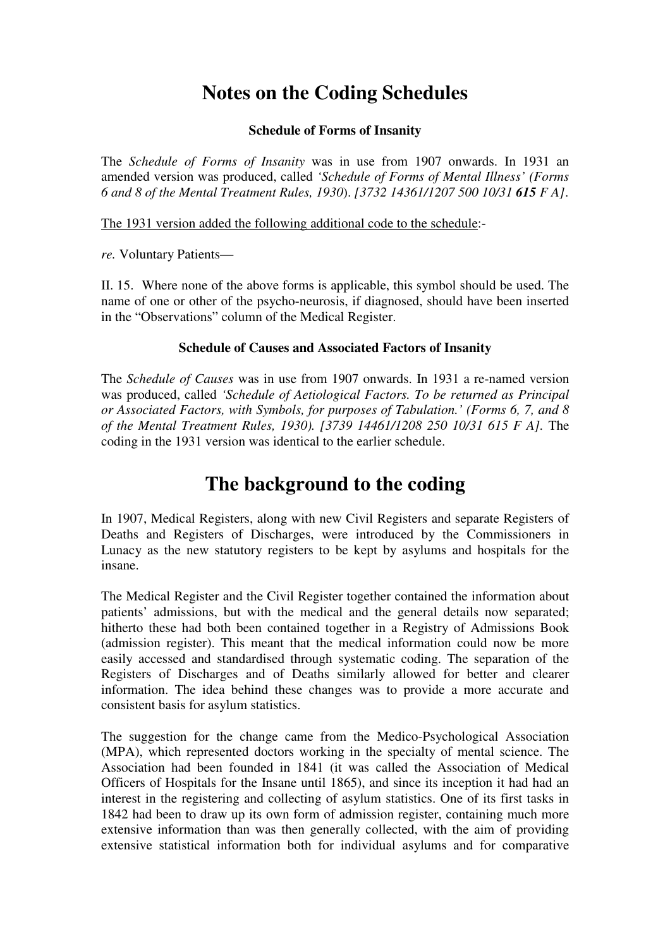## **Notes on the Coding Schedules**

#### **Schedule of Forms of Insanity**

The *Schedule of Forms of Insanity* was in use from 1907 onwards. In 1931 an amended version was produced, called *'Schedule of Forms of Mental Illness' (Forms 6 and 8 of the Mental Treatment Rules, 1930*). *[3732 14361/1207 500 10/31 615 F A]*.

The 1931 version added the following additional code to the schedule:-

*re.* Voluntary Patients—

II. 15. Where none of the above forms is applicable, this symbol should be used. The name of one or other of the psycho-neurosis, if diagnosed, should have been inserted in the "Observations" column of the Medical Register.

#### **Schedule of Causes and Associated Factors of Insanity**

The *Schedule of Causes* was in use from 1907 onwards. In 1931 a re-named version was produced, called *'Schedule of Aetiological Factors. To be returned as Principal or Associated Factors, with Symbols, for purposes of Tabulation.' (Forms 6, 7, and 8 of the Mental Treatment Rules, 1930). [3739 14461/1208 250 10/31 615 F A].* The coding in the 1931 version was identical to the earlier schedule.

## **The background to the coding**

In 1907, Medical Registers, along with new Civil Registers and separate Registers of Deaths and Registers of Discharges, were introduced by the Commissioners in Lunacy as the new statutory registers to be kept by asylums and hospitals for the insane.

The Medical Register and the Civil Register together contained the information about patients' admissions, but with the medical and the general details now separated; hitherto these had both been contained together in a Registry of Admissions Book (admission register). This meant that the medical information could now be more easily accessed and standardised through systematic coding. The separation of the Registers of Discharges and of Deaths similarly allowed for better and clearer information. The idea behind these changes was to provide a more accurate and consistent basis for asylum statistics.

The suggestion for the change came from the Medico-Psychological Association (MPA), which represented doctors working in the specialty of mental science. The Association had been founded in 1841 (it was called the Association of Medical Officers of Hospitals for the Insane until 1865), and since its inception it had had an interest in the registering and collecting of asylum statistics. One of its first tasks in 1842 had been to draw up its own form of admission register, containing much more extensive information than was then generally collected, with the aim of providing extensive statistical information both for individual asylums and for comparative